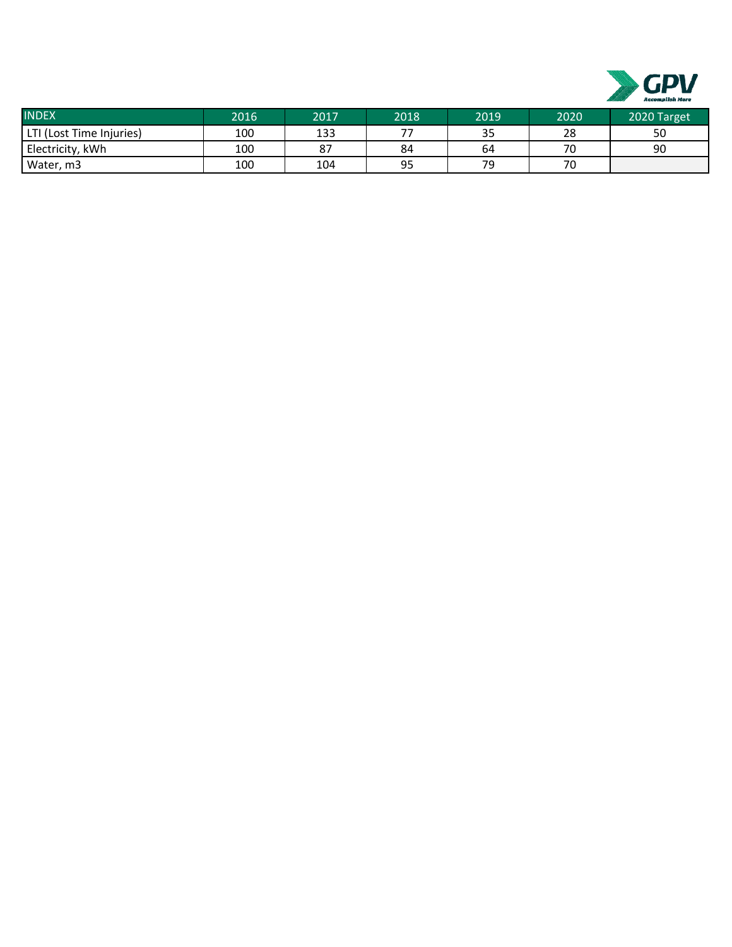

| <b>INDEX</b>             | 2016 | 2017 | 2018                     | 2019      | 2020 | 2020 Target |
|--------------------------|------|------|--------------------------|-----------|------|-------------|
| LTI (Lost Time Injuries) | 100  | 133  | $\overline{\phantom{a}}$ | スロ<br>ر ر | 28   | 50          |
| Electricity, kWh         | 100  | 87   | 84                       | 64        | 70   | 90          |
| Water, m3                | 100  | 104  | 95                       | 70        | 70   |             |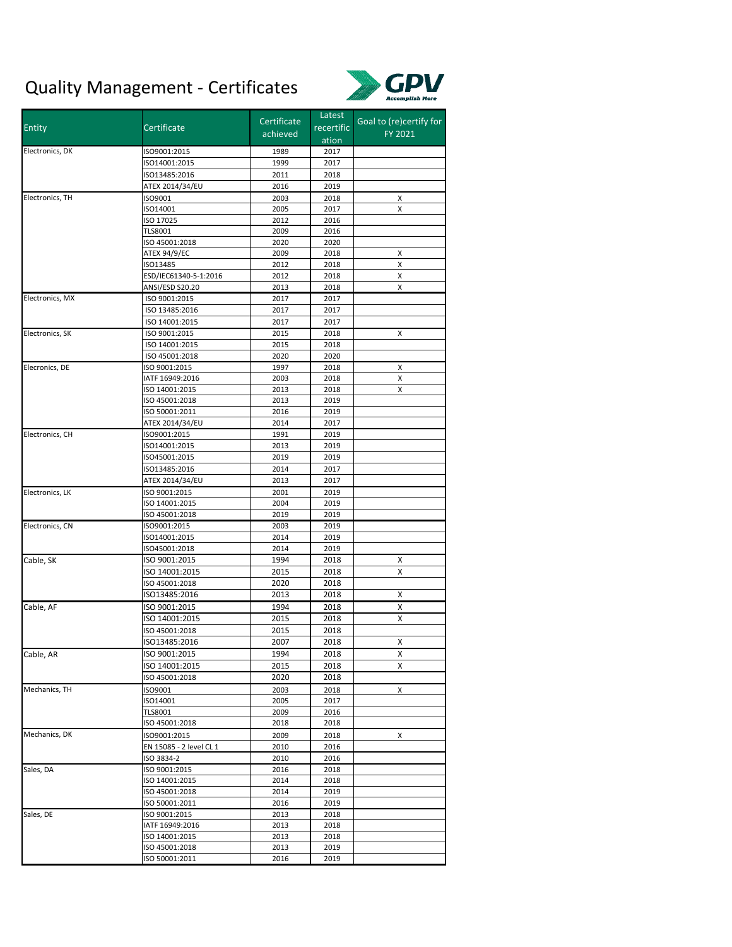## Quality Management ‐ Certificates



| <b>Entity</b>   |                         | Certificate | Latest     | Goal to (re)certify for |  |
|-----------------|-------------------------|-------------|------------|-------------------------|--|
|                 | Certificate             | achieved    | recertific | FY 2021                 |  |
|                 |                         |             | ation      |                         |  |
| Electronics, DK | ISO9001:2015            | 1989        | 2017       |                         |  |
|                 | ISO14001:2015           | 1999        | 2017       |                         |  |
|                 | ISO13485:2016           | 2011        | 2018       |                         |  |
|                 | ATEX 2014/34/EU         | 2016        | 2019       |                         |  |
| Electronics, TH | ISO9001                 | 2003        | 2018       | х                       |  |
|                 | ISO14001                | 2005        | 2017       | X                       |  |
|                 | ISO 17025               | 2012        | 2016       |                         |  |
|                 | <b>TLS8001</b>          | 2009        | 2016       |                         |  |
|                 | ISO 45001:2018          | 2020        | 2020       |                         |  |
|                 | ATEX 94/9/EC            | 2009        | 2018       | х                       |  |
|                 | ISO13485                | 2012        | 2018       | х                       |  |
|                 | ESD/IEC61340-5-1:2016   | 2012        | 2018       | х                       |  |
|                 | ANSI/ESD S20.20         | 2013        | 2018       | X                       |  |
| Electronics, MX | ISO 9001:2015           | 2017        | 2017       |                         |  |
|                 | ISO 13485:2016          | 2017        | 2017       |                         |  |
|                 | ISO 14001:2015          | 2017        | 2017       |                         |  |
| Electronics, SK |                         |             |            |                         |  |
|                 | ISO 9001:2015           | 2015        | 2018       | X                       |  |
|                 | ISO 14001:2015          | 2015        | 2018       |                         |  |
|                 | ISO 45001:2018          | 2020        | 2020       |                         |  |
| Elecronics, DE  | ISO 9001:2015           | 1997        | 2018       | х                       |  |
|                 | IATF 16949:2016         | 2003        | 2018       | X                       |  |
|                 | ISO 14001:2015          | 2013        | 2018       | X                       |  |
|                 | ISO 45001:2018          | 2013        | 2019       |                         |  |
|                 | ISO 50001:2011          | 2016        | 2019       |                         |  |
|                 | ATEX 2014/34/EU         | 2014        | 2017       |                         |  |
| Electronics, CH | ISO9001:2015            | 1991        | 2019       |                         |  |
|                 | ISO14001:2015           | 2013        | 2019       |                         |  |
|                 | ISO45001:2015           | 2019        | 2019       |                         |  |
|                 | ISO13485:2016           | 2014        | 2017       |                         |  |
|                 | ATEX 2014/34/EU         | 2013        | 2017       |                         |  |
| Electronics, LK | ISO 9001:2015           | 2001        | 2019       |                         |  |
|                 | ISO 14001:2015          | 2004        | 2019       |                         |  |
|                 | ISO 45001:2018          | 2019        | 2019       |                         |  |
| Electronics, CN | ISO9001:2015            | 2003        | 2019       |                         |  |
|                 | ISO14001:2015           | 2014        | 2019       |                         |  |
|                 | ISO45001:2018           | 2014        | 2019       |                         |  |
| Cable, SK       | ISO 9001:2015           | 1994        | 2018       | х                       |  |
|                 |                         |             |            |                         |  |
|                 | ISO 14001:2015          | 2015        | 2018       | х                       |  |
|                 | ISO 45001:2018          | 2020        | 2018       |                         |  |
|                 | ISO13485:2016           | 2013        | 2018       | х                       |  |
| Cable, AF       | ISO 9001:2015           | 1994        | 2018       | х                       |  |
|                 | ISO 14001:2015          | 2015        | 2018       | X                       |  |
|                 | ISO 45001:2018          | 2015        | 2018       |                         |  |
|                 | ISO13485:2016           | 2007        | 2018       | х                       |  |
| Cable, AR       | ISO 9001:2015           | 1994        | 2018       | х                       |  |
|                 | ISO 14001:2015          | 2015        | 2018       | х                       |  |
|                 | ISO 45001:2018          | 2020        | 2018       |                         |  |
| Mechanics, TH   | ISO9001                 | 2003        | 2018       | х                       |  |
|                 | ISO14001                | 2005        | 2017       |                         |  |
|                 | <b>TLS8001</b>          | 2009        | 2016       |                         |  |
|                 | ISO 45001:2018          | 2018        | 2018       |                         |  |
| Mechanics, DK   |                         |             |            |                         |  |
|                 | ISO9001:2015            | 2009        | 2018       | х                       |  |
|                 | EN 15085 - 2 level CL 1 | 2010        | 2016       |                         |  |
|                 | ISO 3834-2              | 2010        | 2016       |                         |  |
| Sales, DA       | ISO 9001:2015           | 2016        | 2018       |                         |  |
|                 | ISO 14001:2015          | 2014        | 2018       |                         |  |
|                 | ISO 45001:2018          | 2014        | 2019       |                         |  |
|                 | ISO 50001:2011          | 2016        | 2019       |                         |  |
| Sales, DE       | ISO 9001:2015           | 2013        | 2018       |                         |  |
|                 | IATF 16949:2016         | 2013        | 2018       |                         |  |
|                 | ISO 14001:2015          | 2013        | 2018       |                         |  |
|                 | ISO 45001:2018          | 2013        | 2019       |                         |  |
|                 | ISO 50001:2011          | 2016        | 2019       |                         |  |